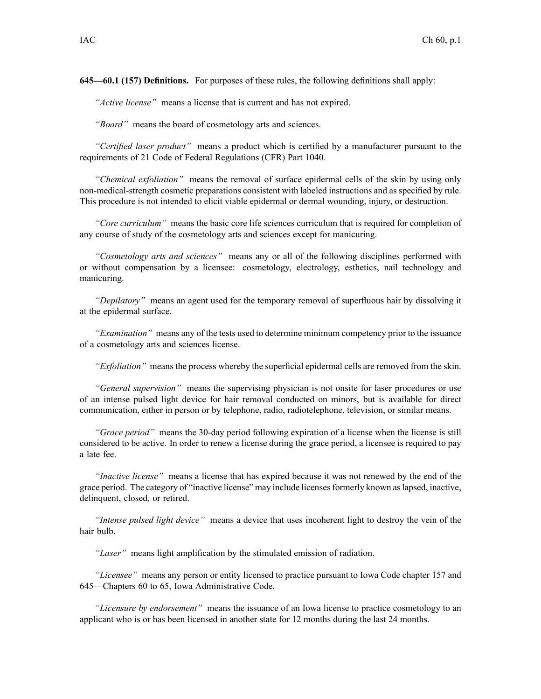**645—60.1 (157) Definitions.** For purposes of these rules, the following definitions shall apply:

*"Active license"* means <sup>a</sup> license that is current and has not expired.

*"Board"* means the board of cosmetology arts and sciences.

*"Certified laser product"* means <sup>a</sup> product which is certified by <sup>a</sup> manufacturer pursuan<sup>t</sup> to the requirements of 21 Code of Federal Regulations (CFR) Part 1040.

*"Chemical exfoliation"* means the removal of surface epidermal cells of the skin by using only non-medical-strength cosmetic preparations consistent with labeled instructions and as specified by rule. This procedure is not intended to elicit viable epidermal or dermal wounding, injury, or destruction.

*"Core curriculum"* means the basic core life sciences curriculum that is required for completion of any course of study of the cosmetology arts and sciences excep<sup>t</sup> for manicuring.

*"Cosmetology arts and sciences"* means any or all of the following disciplines performed with or without compensation by <sup>a</sup> licensee: cosmetology, electrology, esthetics, nail technology and manicuring.

*"Depilatory"* means an agen<sup>t</sup> used for the temporary removal of superfluous hair by dissolving it at the epidermal surface.

*"Examination"* means any of the tests used to determine minimum competency prior to the issuance of <sup>a</sup> cosmetology arts and sciences license.

*"Exfoliation"* means the process whereby the superficial epidermal cells are removed from the skin.

*"General supervision"* means the supervising physician is not onsite for laser procedures or use of an intense pulsed light device for hair removal conducted on minors, but is available for direct communication, either in person or by telephone, radio, radiotelephone, television, or similar means.

*"Grace period"* means the 30-day period following expiration of <sup>a</sup> license when the license is still considered to be active. In order to renew <sup>a</sup> license during the grace period, <sup>a</sup> licensee is required to pay <sup>a</sup> late fee.

*"Inactive license"* means <sup>a</sup> license that has expired because it was not renewed by the end of the grace period. The category of "inactive license" may include licensesformerly known aslapsed, inactive, delinquent, closed, or retired.

*"Intense pulsed light device"* means <sup>a</sup> device that uses incoherent light to destroy the vein of the hair bulb.

*"Laser"* means light amplification by the stimulated emission of radiation.

*"Licensee"* means any person or entity licensed to practice pursuan<sup>t</sup> to Iowa Code chapter [157](https://www.legis.iowa.gov/docs/ico/chapter/157.pdf) and 645—Chapters 60 to 65, Iowa Administrative Code.

*"Licensure by endorsement"* means the issuance of an Iowa license to practice cosmetology to an applicant who is or has been licensed in another state for 12 months during the last 24 months.